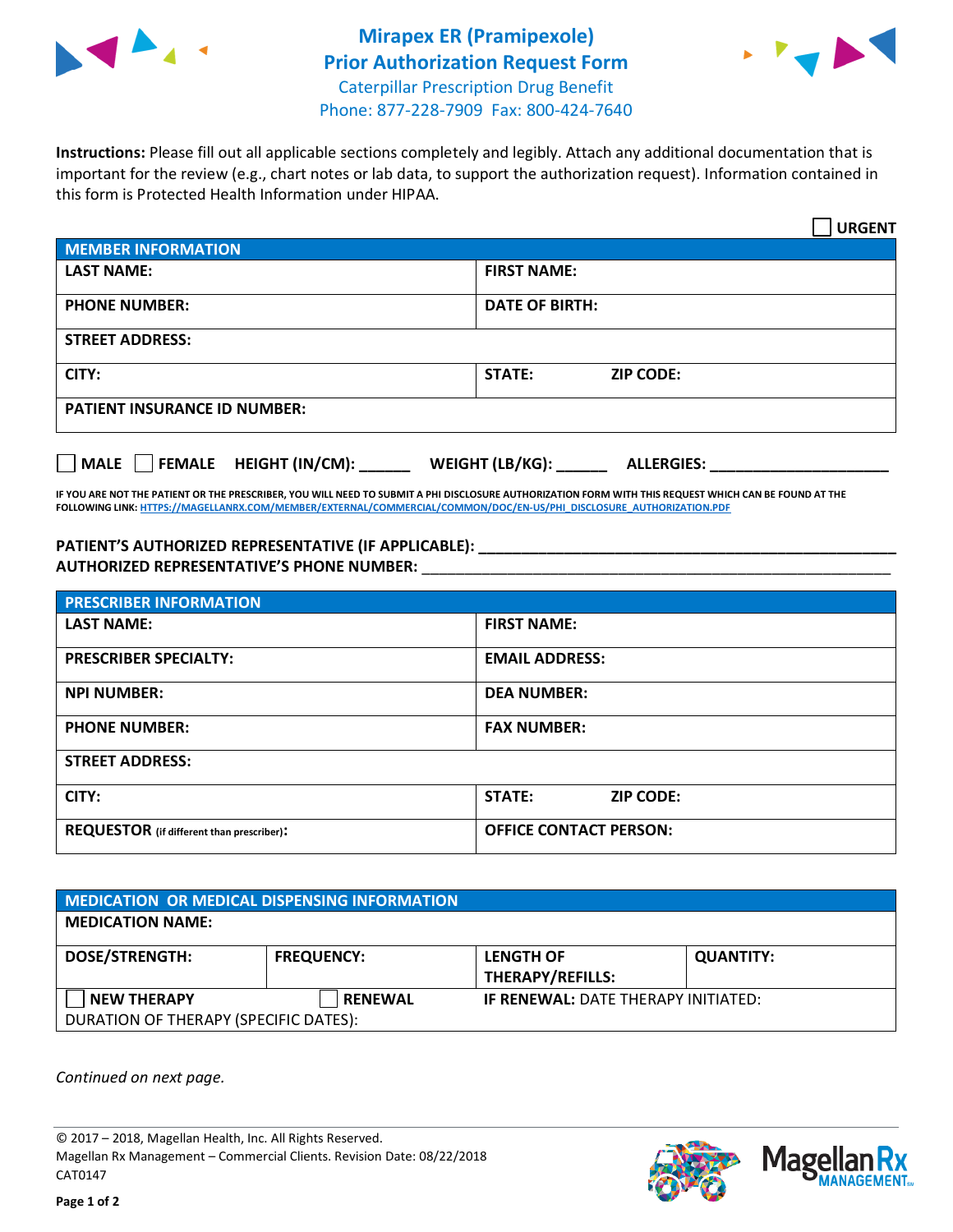



**Instructions:** Please fill out all applicable sections completely and legibly. Attach any additional documentation that is important for the review (e.g., chart notes or lab data, to support the authorization request). Information contained in this form is Protected Health Information under HIPAA.

|                                     | <b>URGENT</b>                        |  |  |  |
|-------------------------------------|--------------------------------------|--|--|--|
| <b>MEMBER INFORMATION</b>           |                                      |  |  |  |
| <b>LAST NAME:</b>                   | <b>FIRST NAME:</b>                   |  |  |  |
| <b>PHONE NUMBER:</b>                | <b>DATE OF BIRTH:</b>                |  |  |  |
| <b>STREET ADDRESS:</b>              |                                      |  |  |  |
| CITY:                               | STATE:<br><b>ZIP CODE:</b>           |  |  |  |
| <b>PATIENT INSURANCE ID NUMBER:</b> |                                      |  |  |  |
| FEMALE HEIGHT (IN/CM):<br>    MALE  | WEIGHT (LB/KG):<br><b>ALLERGIES:</b> |  |  |  |

**IF YOU ARE NOT THE PATIENT OR THE PRESCRIBER, YOU WILL NEED TO SUBMIT A PHI DISCLOSURE AUTHORIZATION FORM WITH THIS REQUEST WHICH CAN BE FOUND AT THE FOLLOWING LINK[: HTTPS://MAGELLANRX.COM/MEMBER/EXTERNAL/COMMERCIAL/COMMON/DOC/EN-US/PHI\\_DISCLOSURE\\_AUTHORIZATION.PDF](https://magellanrx.com/member/external/commercial/common/doc/en-us/PHI_Disclosure_Authorization.pdf)**

PATIENT'S AUTHORIZED REPRESENTATIVE (IF APPLICABLE): **AUTHORIZED REPRESENTATIVE'S PHONE NUMBER:** \_\_\_\_\_\_\_\_\_\_\_\_\_\_\_\_\_\_\_\_\_\_\_\_\_\_\_\_\_\_\_\_\_\_\_\_\_\_\_\_\_\_\_\_\_\_\_\_\_\_\_\_\_\_\_

| <b>PRESCRIBER INFORMATION</b>             |                               |  |  |  |
|-------------------------------------------|-------------------------------|--|--|--|
| <b>LAST NAME:</b>                         | <b>FIRST NAME:</b>            |  |  |  |
| <b>PRESCRIBER SPECIALTY:</b>              | <b>EMAIL ADDRESS:</b>         |  |  |  |
| <b>NPI NUMBER:</b>                        | <b>DEA NUMBER:</b>            |  |  |  |
| <b>PHONE NUMBER:</b>                      | <b>FAX NUMBER:</b>            |  |  |  |
| <b>STREET ADDRESS:</b>                    |                               |  |  |  |
| CITY:                                     | STATE:<br><b>ZIP CODE:</b>    |  |  |  |
| REQUESTOR (if different than prescriber): | <b>OFFICE CONTACT PERSON:</b> |  |  |  |

| <b>MEDICATION OR MEDICAL DISPENSING INFORMATION</b> |                   |                                            |                  |  |  |
|-----------------------------------------------------|-------------------|--------------------------------------------|------------------|--|--|
| <b>MEDICATION NAME:</b>                             |                   |                                            |                  |  |  |
| <b>DOSE/STRENGTH:</b>                               | <b>FREQUENCY:</b> | <b>LENGTH OF</b>                           | <b>QUANTITY:</b> |  |  |
|                                                     |                   | <b>THERAPY/REFILLS:</b>                    |                  |  |  |
| <b>NEW THERAPY</b>                                  | <b>RENEWAL</b>    | <b>IF RENEWAL: DATE THERAPY INITIATED:</b> |                  |  |  |
| DURATION OF THERAPY (SPECIFIC DATES):               |                   |                                            |                  |  |  |

*Continued on next page.*

© 2017 – 2018, Magellan Health, Inc. All Rights Reserved. Magellan Rx Management – Commercial Clients. Revision Date: 08/22/2018 CAT0147